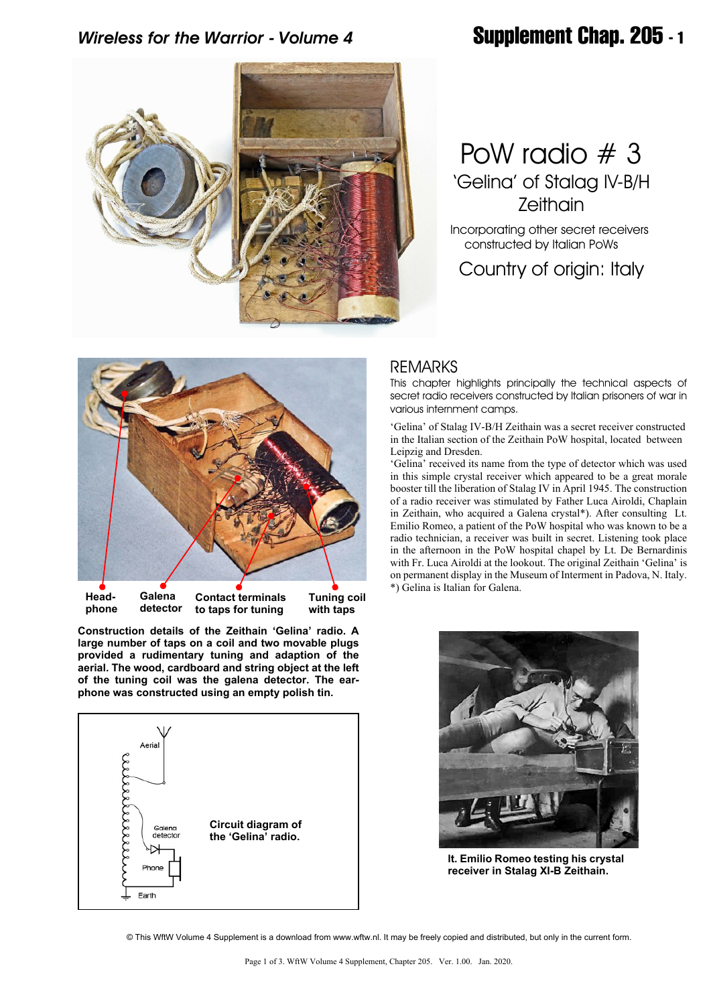# *Wireless for the Warrior - Volume 4* **Supplement Chap. 205 - 1**



# PoW radio # 3 'Gelina' of Stalag IV-B/H Zeithain

 Incorporating other secret receivers constructed by Italian PoWs

Country of origin: Italy



**Construction details of the Zeithain 'Gelina' radio. A large number of taps on a coil and two movable plugs provided a rudimentary tuning and adaption of the aerial. The wood, cardboard and string object at the left of the tuning coil was the galena detector. The earphone was constructed using an empty polish tin.**



### REMARKS

This chapter highlights principally the technical aspects of secret radio receivers constructed by Italian prisoners of war in various internment camps.

'Gelina' of Stalag IV-B/H Zeithain was a secret receiver constructed in the Italian section of the Zeithain PoW hospital, located between Leipzig and Dresden.

'Gelina' received its name from the type of detector which was used in this simple crystal receiver which appeared to be a great morale booster till the liberation of Stalag IV in April 1945. The construction of a radio receiver was stimulated by Father Luca Airoldi, Chaplain in Zeithain, who acquired a Galena crystal\*). After consulting Lt. Emilio Romeo, a patient of the PoW hospital who was known to be a radio technician, a receiver was built in secret. Listening took place in the afternoon in the PoW hospital chapel by Lt. De Bernardinis with Fr. Luca Airoldi at the lookout. The original Zeithain 'Gelina' is on permanent display in the Museum of Interment in Padova, N. Italy. \*) Gelina is Italian for Galena.



**lt. Emilio Romeo testing his crystal receiver in Stalag XI-B Zeithain.**

© This WftW Volume 4 Supplement is a download from www.wftw.nl. It may be freely copied and distributed, but only in the current form.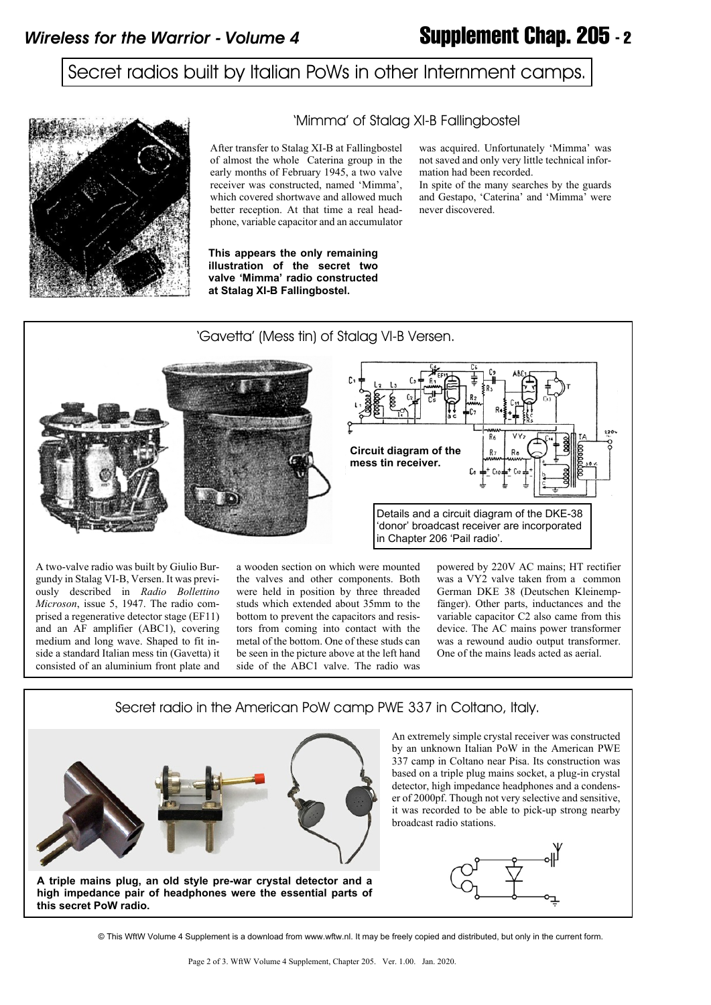## Secret radios built by Italian PoWs in other Internment camps.



#### 'Mimma' of Stalag XI-B Fallingbostel

After transfer to Stalag XI-B at Fallingbostel of almost the whole Caterina group in the early months of February 1945, a two valve receiver was constructed, named 'Mimma', which covered shortwave and allowed much better reception. At that time a real headphone, variable capacitor and an accumulator

**This appears the only remaining illustration of the secret two valve 'Mimma' radio constructed at Stalag XI-B Fallingbostel.**

was acquired. Unfortunately 'Mimma' was not saved and only very little technical information had been recorded.

In spite of the many searches by the guards and Gestapo, 'Caterina' and 'Mimma' were never discovered.



gundy in Stalag VI-B, Versen. It was previously described in *Radio Bollettino Microson*, issue 5, 1947. The radio comprised a regenerative detector stage (EF11) and an AF amplifier (ABC1), covering medium and long wave. Shaped to fit inside a standard Italian mess tin (Gavetta) it consisted of an aluminium front plate and

the valves and other components. Both were held in position by three threaded studs which extended about 35mm to the bottom to prevent the capacitors and resistors from coming into contact with the metal of the bottom. One of these studs can be seen in the picture above at the left hand side of the ABC1 valve. The radio was powered by 220V AC mains; HT rectifier was a VY2 valve taken from a common German DKE 38 (Deutschen Kleinempfänger). Other parts, inductances and the variable capacitor C2 also came from this device. The AC mains power transformer was a rewound audio output transformer. One of the mains leads acted as aerial.

#### Secret radio in the American PoW camp PWE 337 in Coltano, Italy.



An extremely simple crystal receiver was constructed by an unknown Italian PoW in the American PWE 337 camp in Coltano near Pisa. Its construction was based on a triple plug mains socket, a plug-in crystal detector, high impedance headphones and a condenser of 2000pf. Though not very selective and sensitive, it was recorded to be able to pick-up strong nearby broadcast radio stations.



© This WftW Volume 4 Supplement is a download from www.wftw.nl. It may be freely copied and distributed, but only in the current form.